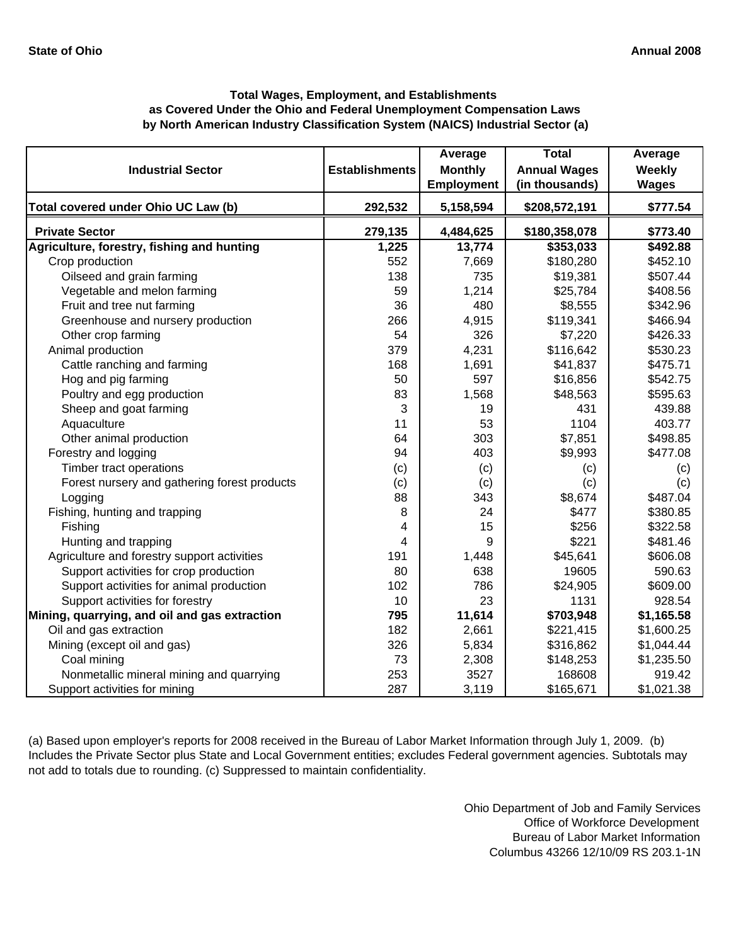# **by North American Industry Classification System (NAICS) Industrial Sector (a) Total Wages, Employment, and Establishments as Covered Under the Ohio and Federal Unemployment Compensation Laws**

| <b>Industrial Sector</b>                      | <b>Establishments</b> | Average<br><b>Monthly</b><br><b>Employment</b> | <b>Total</b><br><b>Annual Wages</b><br>(in thousands) | Average<br>Weekly<br><b>Wages</b> |
|-----------------------------------------------|-----------------------|------------------------------------------------|-------------------------------------------------------|-----------------------------------|
| Total covered under Ohio UC Law (b)           | 292,532               | 5,158,594                                      | \$208,572,191                                         | \$777.54                          |
| <b>Private Sector</b>                         | 279,135               | 4,484,625                                      | \$180,358,078                                         | \$773.40                          |
| Agriculture, forestry, fishing and hunting    | 1,225                 | 13,774                                         | \$353,033                                             | $\sqrt{492.88}$                   |
| Crop production                               | 552                   | 7,669                                          | \$180,280                                             | \$452.10                          |
| Oilseed and grain farming                     | 138                   | 735                                            | \$19,381                                              | \$507.44                          |
| Vegetable and melon farming                   | 59                    | 1,214                                          | \$25,784                                              | \$408.56                          |
| Fruit and tree nut farming                    | 36                    | 480                                            | \$8,555                                               | \$342.96                          |
| Greenhouse and nursery production             | 266                   | 4,915                                          | \$119,341                                             | \$466.94                          |
| Other crop farming                            | 54                    | 326                                            | \$7,220                                               | \$426.33                          |
| Animal production                             | 379                   | 4,231                                          | \$116,642                                             | \$530.23                          |
| Cattle ranching and farming                   | 168                   | 1,691                                          | \$41,837                                              | \$475.71                          |
| Hog and pig farming                           | 50                    | 597                                            | \$16,856                                              | \$542.75                          |
| Poultry and egg production                    | 83                    | 1,568                                          | \$48,563                                              | \$595.63                          |
| Sheep and goat farming                        | 3                     | 19                                             | 431                                                   | 439.88                            |
| Aquaculture                                   | 11                    | 53                                             | 1104                                                  | 403.77                            |
| Other animal production                       | 64                    | 303                                            | \$7,851                                               | \$498.85                          |
| Forestry and logging                          | 94                    | 403                                            | \$9,993                                               | \$477.08                          |
| Timber tract operations                       | (c)                   | (c)                                            | (c)                                                   | (c)                               |
| Forest nursery and gathering forest products  | (c)                   | (c)                                            | (c)                                                   | (c)                               |
| Logging                                       | 88                    | 343                                            | \$8,674                                               | \$487.04                          |
| Fishing, hunting and trapping                 | 8                     | 24                                             | \$477                                                 | \$380.85                          |
| Fishing                                       | 4                     | 15                                             | \$256                                                 | \$322.58                          |
| Hunting and trapping                          | 4                     | 9                                              | \$221                                                 | \$481.46                          |
| Agriculture and forestry support activities   | 191                   | 1,448                                          | \$45,641                                              | \$606.08                          |
| Support activities for crop production        | 80                    | 638                                            | 19605                                                 | 590.63                            |
| Support activities for animal production      | 102                   | 786                                            | \$24,905                                              | \$609.00                          |
| Support activities for forestry               | 10                    | 23                                             | 1131                                                  | 928.54                            |
| Mining, quarrying, and oil and gas extraction | 795                   | 11,614                                         | \$703,948                                             | \$1,165.58                        |
| Oil and gas extraction                        | 182                   | 2,661                                          | \$221,415                                             | \$1,600.25                        |
| Mining (except oil and gas)                   | 326                   | 5,834                                          | \$316,862                                             | \$1,044.44                        |
| Coal mining                                   | 73                    | 2,308                                          | \$148,253                                             | \$1,235.50                        |
| Nonmetallic mineral mining and quarrying      | 253                   | 3527                                           | 168608                                                | 919.42                            |
| Support activities for mining                 | 287                   | 3,119                                          | \$165,671                                             | \$1,021.38                        |

(a) Based upon employer's reports for 2008 received in the Bureau of Labor Market Information through July 1, 2009. (b) Includes the Private Sector plus State and Local Government entities; excludes Federal government agencies. Subtotals may not add to totals due to rounding. (c) Suppressed to maintain confidentiality.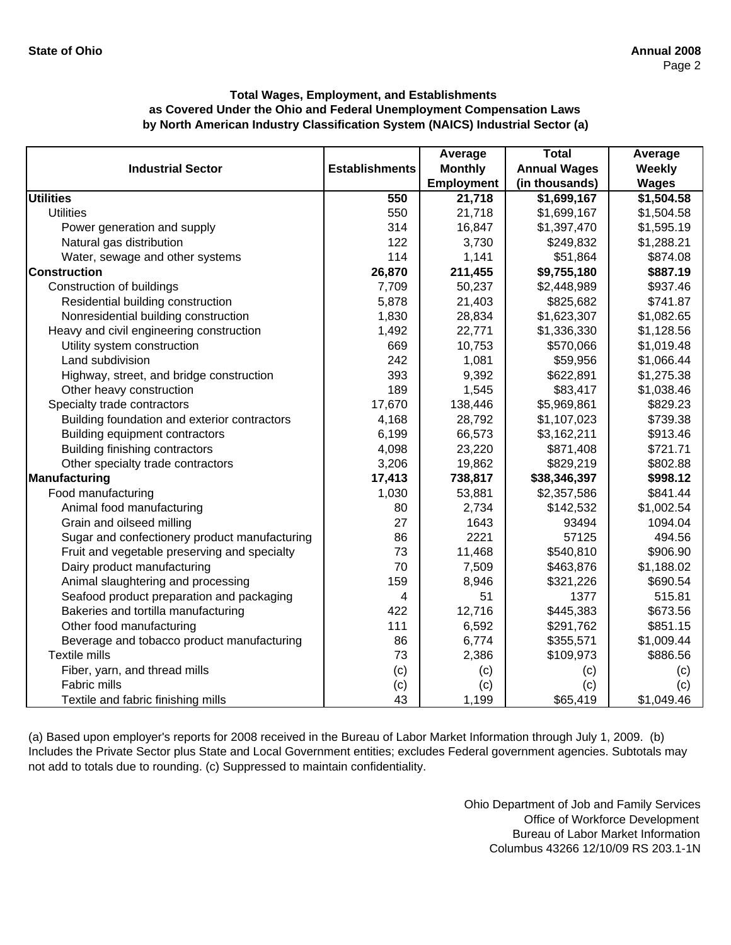|                                               |                       | Average           | <b>Total</b>        | Average       |
|-----------------------------------------------|-----------------------|-------------------|---------------------|---------------|
| <b>Industrial Sector</b>                      | <b>Establishments</b> | <b>Monthly</b>    | <b>Annual Wages</b> | <b>Weekly</b> |
|                                               |                       | <b>Employment</b> | (in thousands)      | <b>Wages</b>  |
| <b>Utilities</b>                              | 550                   | 21,718            | \$1,699,167         | \$1,504.58    |
| <b>Utilities</b>                              | 550                   | 21,718            | \$1,699,167         | \$1,504.58    |
| Power generation and supply                   | 314                   | 16,847            | \$1,397,470         | \$1,595.19    |
| Natural gas distribution                      | 122                   | 3,730             | \$249,832           | \$1,288.21    |
| Water, sewage and other systems               | 114                   | 1,141             | \$51,864            | \$874.08      |
| <b>Construction</b>                           | 26,870                | 211,455           | \$9,755,180         | \$887.19      |
| Construction of buildings                     | 7,709                 | 50,237            | \$2,448,989         | \$937.46      |
| Residential building construction             | 5,878                 | 21,403            | \$825,682           | \$741.87      |
| Nonresidential building construction          | 1,830                 | 28,834            | \$1,623,307         | \$1,082.65    |
| Heavy and civil engineering construction      | 1,492                 | 22,771            | \$1,336,330         | \$1,128.56    |
| Utility system construction                   | 669                   | 10,753            | \$570,066           | \$1,019.48    |
| Land subdivision                              | 242                   | 1,081             | \$59,956            | \$1,066.44    |
| Highway, street, and bridge construction      | 393                   | 9,392             | \$622,891           | \$1,275.38    |
| Other heavy construction                      | 189                   | 1,545             | \$83,417            | \$1,038.46    |
| Specialty trade contractors                   | 17,670                | 138,446           | \$5,969,861         | \$829.23      |
| Building foundation and exterior contractors  | 4,168                 | 28,792            | \$1,107,023         | \$739.38      |
| Building equipment contractors                | 6,199                 | 66,573            | \$3,162,211         | \$913.46      |
| Building finishing contractors                | 4,098                 | 23,220            | \$871,408           | \$721.71      |
| Other specialty trade contractors             | 3,206                 | 19,862            | \$829,219           | \$802.88      |
| Manufacturing                                 | 17,413                | 738,817           | \$38,346,397        | \$998.12      |
| Food manufacturing                            | 1,030                 | 53,881            | \$2,357,586         | \$841.44      |
| Animal food manufacturing                     | 80                    | 2,734             | \$142,532           | \$1,002.54    |
| Grain and oilseed milling                     | 27                    | 1643              | 93494               | 1094.04       |
| Sugar and confectionery product manufacturing | 86                    | 2221              | 57125               | 494.56        |
| Fruit and vegetable preserving and specialty  | 73                    | 11,468            | \$540,810           | \$906.90      |
| Dairy product manufacturing                   | 70                    | 7,509             | \$463,876           | \$1,188.02    |
| Animal slaughtering and processing            | 159                   | 8,946             | \$321,226           | \$690.54      |
| Seafood product preparation and packaging     | 4                     | 51                | 1377                | 515.81        |
| Bakeries and tortilla manufacturing           | 422                   | 12,716            | \$445,383           | \$673.56      |
| Other food manufacturing                      | 111                   | 6,592             | \$291,762           | \$851.15      |
| Beverage and tobacco product manufacturing    | 86                    | 6,774             | \$355,571           | \$1,009.44    |
| Textile mills                                 | 73                    | 2,386             | \$109,973           | \$886.56      |
| Fiber, yarn, and thread mills                 | (c)                   | (c)               | (c)                 | (c)           |
| Fabric mills                                  | (c)                   | (c)               | (c)                 | (c)           |
| Textile and fabric finishing mills            | 43                    | 1,199             | \$65,419            | \$1,049.46    |

(a) Based upon employer's reports for 2008 received in the Bureau of Labor Market Information through July 1, 2009. (b) Includes the Private Sector plus State and Local Government entities; excludes Federal government agencies. Subtotals may not add to totals due to rounding. (c) Suppressed to maintain confidentiality.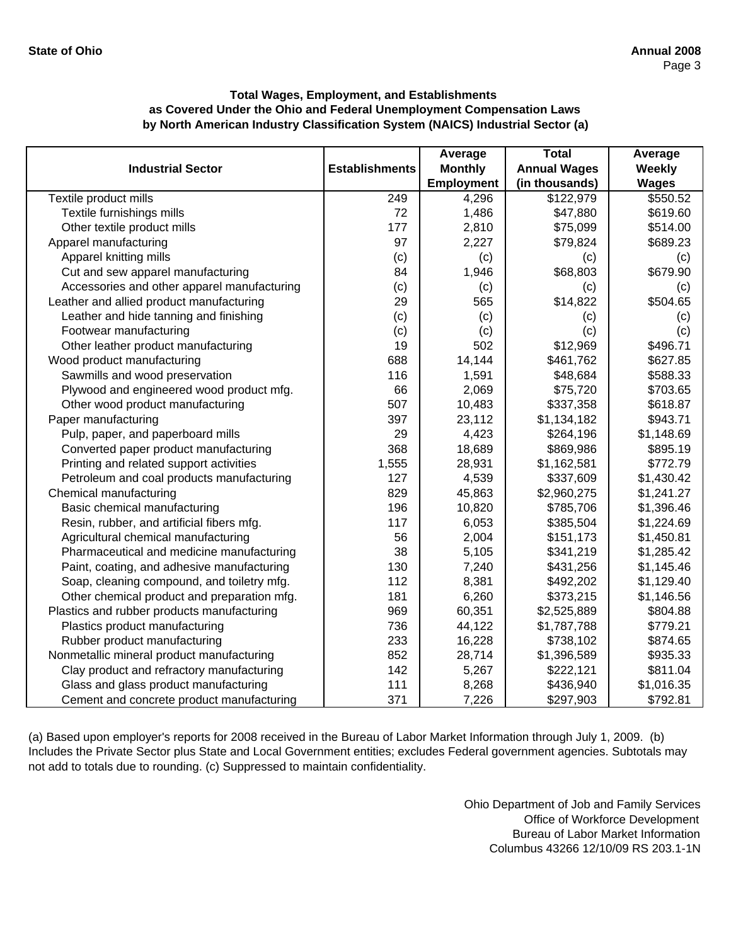|                                             |                       | Average           | <b>Total</b>        | Average      |
|---------------------------------------------|-----------------------|-------------------|---------------------|--------------|
| <b>Industrial Sector</b>                    | <b>Establishments</b> | <b>Monthly</b>    | <b>Annual Wages</b> | Weekly       |
|                                             |                       | <b>Employment</b> | (in thousands)      | <b>Wages</b> |
| Textile product mills                       | 249                   | 4,296             | \$122,979           | \$550.52     |
| Textile furnishings mills                   | 72                    | 1,486             | \$47,880            | \$619.60     |
| Other textile product mills                 | 177                   | 2,810             | \$75,099            | \$514.00     |
| Apparel manufacturing                       | 97                    | 2,227             | \$79,824            | \$689.23     |
| Apparel knitting mills                      | (c)                   | (c)               | (c)                 | (c)          |
| Cut and sew apparel manufacturing           | 84                    | 1,946             | \$68,803            | \$679.90     |
| Accessories and other apparel manufacturing | (c)                   | (c)               | (c)                 | (c)          |
| Leather and allied product manufacturing    | 29                    | 565               | \$14,822            | \$504.65     |
| Leather and hide tanning and finishing      | (c)                   | (c)               | (c)                 | (c)          |
| Footwear manufacturing                      | (c)                   | (c)               | (c)                 | (c)          |
| Other leather product manufacturing         | 19                    | 502               | \$12,969            | \$496.71     |
| Wood product manufacturing                  | 688                   | 14,144            | \$461,762           | \$627.85     |
| Sawmills and wood preservation              | 116                   | 1,591             | \$48,684            | \$588.33     |
| Plywood and engineered wood product mfg.    | 66                    | 2,069             | \$75,720            | \$703.65     |
| Other wood product manufacturing            | 507                   | 10,483            | \$337,358           | \$618.87     |
| Paper manufacturing                         | 397                   | 23,112            | \$1,134,182         | \$943.71     |
| Pulp, paper, and paperboard mills           | 29                    | 4,423             | \$264,196           | \$1,148.69   |
| Converted paper product manufacturing       | 368                   | 18,689            | \$869,986           | \$895.19     |
| Printing and related support activities     | 1,555                 | 28,931            | \$1,162,581         | \$772.79     |
| Petroleum and coal products manufacturing   | 127                   | 4,539             | \$337,609           | \$1,430.42   |
| Chemical manufacturing                      | 829                   | 45,863            | \$2,960,275         | \$1,241.27   |
| Basic chemical manufacturing                | 196                   | 10,820            | \$785,706           | \$1,396.46   |
| Resin, rubber, and artificial fibers mfg.   | 117                   | 6,053             | \$385,504           | \$1,224.69   |
| Agricultural chemical manufacturing         | 56                    | 2,004             | \$151,173           | \$1,450.81   |
| Pharmaceutical and medicine manufacturing   | 38                    | 5,105             | \$341,219           | \$1,285.42   |
| Paint, coating, and adhesive manufacturing  | 130                   | 7,240             | \$431,256           | \$1,145.46   |
| Soap, cleaning compound, and toiletry mfg.  | 112                   | 8,381             | \$492,202           | \$1,129.40   |
| Other chemical product and preparation mfg. | 181                   | 6,260             | \$373,215           | \$1,146.56   |
| Plastics and rubber products manufacturing  | 969                   | 60,351            | \$2,525,889         | \$804.88     |
| Plastics product manufacturing              | 736                   | 44,122            | \$1,787,788         | \$779.21     |
| Rubber product manufacturing                | 233                   | 16,228            | \$738,102           | \$874.65     |
| Nonmetallic mineral product manufacturing   | 852                   | 28,714            | \$1,396,589         | \$935.33     |
| Clay product and refractory manufacturing   | 142                   | 5,267             | \$222,121           | \$811.04     |
| Glass and glass product manufacturing       | 111                   | 8,268             | \$436,940           | \$1,016.35   |
| Cement and concrete product manufacturing   | 371                   | 7,226             | \$297,903           | \$792.81     |

(a) Based upon employer's reports for 2008 received in the Bureau of Labor Market Information through July 1, 2009. (b) Includes the Private Sector plus State and Local Government entities; excludes Federal government agencies. Subtotals may not add to totals due to rounding. (c) Suppressed to maintain confidentiality.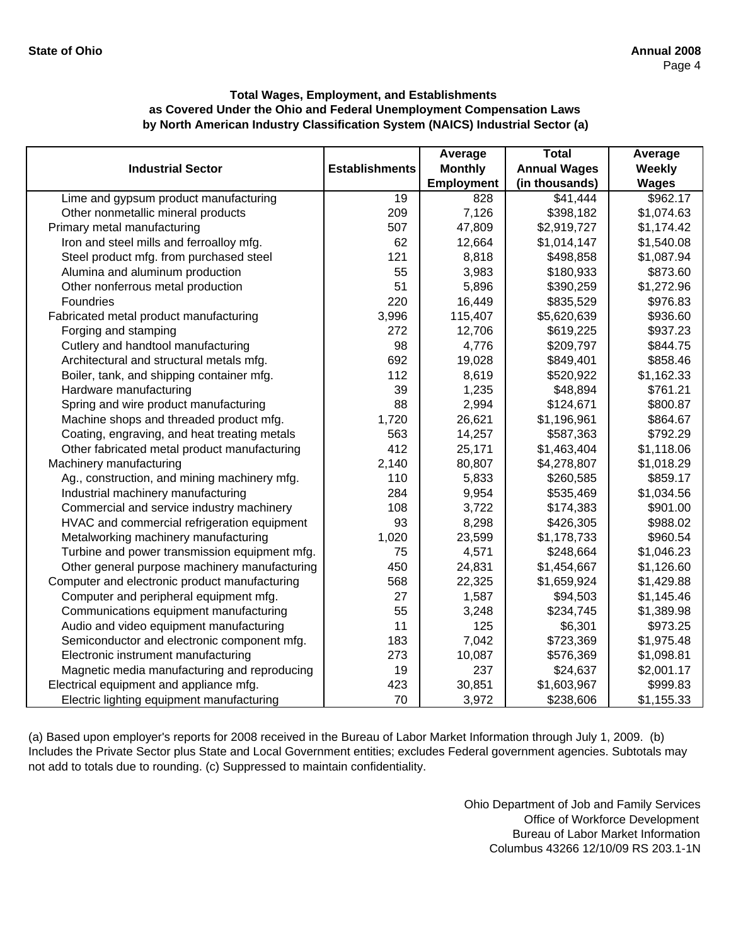|                                               |                       | Average        | <b>Total</b>        | Average       |
|-----------------------------------------------|-----------------------|----------------|---------------------|---------------|
| <b>Industrial Sector</b>                      | <b>Establishments</b> | <b>Monthly</b> | <b>Annual Wages</b> | <b>Weekly</b> |
|                                               |                       | Employment     | (in thousands)      | <b>Wages</b>  |
| Lime and gypsum product manufacturing         | 19                    | 828            | \$41,444            | \$962.17      |
| Other nonmetallic mineral products            | 209                   | 7,126          | \$398,182           | \$1,074.63    |
| Primary metal manufacturing                   | 507                   | 47,809         | \$2,919,727         | \$1,174.42    |
| Iron and steel mills and ferroalloy mfg.      | 62                    | 12,664         | \$1,014,147         | \$1,540.08    |
| Steel product mfg. from purchased steel       | 121                   | 8,818          | \$498,858           | \$1,087.94    |
| Alumina and aluminum production               | 55                    | 3,983          | \$180,933           | \$873.60      |
| Other nonferrous metal production             | 51                    | 5,896          | \$390,259           | \$1,272.96    |
| Foundries                                     | 220                   | 16,449         | \$835,529           | \$976.83      |
| Fabricated metal product manufacturing        | 3,996                 | 115,407        | \$5,620,639         | \$936.60      |
| Forging and stamping                          | 272                   | 12,706         | \$619,225           | \$937.23      |
| Cutlery and handtool manufacturing            | 98                    | 4,776          | \$209,797           | \$844.75      |
| Architectural and structural metals mfg.      | 692                   | 19,028         | \$849,401           | \$858.46      |
| Boiler, tank, and shipping container mfg.     | 112                   | 8,619          | \$520,922           | \$1,162.33    |
| Hardware manufacturing                        | 39                    | 1,235          | \$48,894            | \$761.21      |
| Spring and wire product manufacturing         | 88                    | 2,994          | \$124,671           | \$800.87      |
| Machine shops and threaded product mfg.       | 1,720                 | 26,621         | \$1,196,961         | \$864.67      |
| Coating, engraving, and heat treating metals  | 563                   | 14,257         | \$587,363           | \$792.29      |
| Other fabricated metal product manufacturing  | 412                   | 25,171         | \$1,463,404         | \$1,118.06    |
| Machinery manufacturing                       | 2,140                 | 80,807         | \$4,278,807         | \$1,018.29    |
| Ag., construction, and mining machinery mfg.  | 110                   | 5,833          | \$260,585           | \$859.17      |
| Industrial machinery manufacturing            | 284                   | 9,954          | \$535,469           | \$1,034.56    |
| Commercial and service industry machinery     | 108                   | 3,722          | \$174,383           | \$901.00      |
| HVAC and commercial refrigeration equipment   | 93                    | 8,298          | \$426,305           | \$988.02      |
| Metalworking machinery manufacturing          | 1,020                 | 23,599         | \$1,178,733         | \$960.54      |
| Turbine and power transmission equipment mfg. | 75                    | 4,571          | \$248,664           | \$1,046.23    |
| Other general purpose machinery manufacturing | 450                   | 24,831         | \$1,454,667         | \$1,126.60    |
| Computer and electronic product manufacturing | 568                   | 22,325         | \$1,659,924         | \$1,429.88    |
| Computer and peripheral equipment mfg.        | 27                    | 1,587          | \$94,503            | \$1,145.46    |
| Communications equipment manufacturing        | 55                    | 3,248          | \$234,745           | \$1,389.98    |
| Audio and video equipment manufacturing       | 11                    | 125            | \$6,301             | \$973.25      |
| Semiconductor and electronic component mfg.   | 183                   | 7,042          | \$723,369           | \$1,975.48    |
| Electronic instrument manufacturing           | 273                   | 10,087         | \$576,369           | \$1,098.81    |
| Magnetic media manufacturing and reproducing  | 19                    | 237            | \$24,637            | \$2,001.17    |
| Electrical equipment and appliance mfg.       | 423                   | 30,851         | \$1,603,967         | \$999.83      |
| Electric lighting equipment manufacturing     | 70                    | 3,972          | \$238,606           | \$1,155.33    |

(a) Based upon employer's reports for 2008 received in the Bureau of Labor Market Information through July 1, 2009. (b) Includes the Private Sector plus State and Local Government entities; excludes Federal government agencies. Subtotals may not add to totals due to rounding. (c) Suppressed to maintain confidentiality.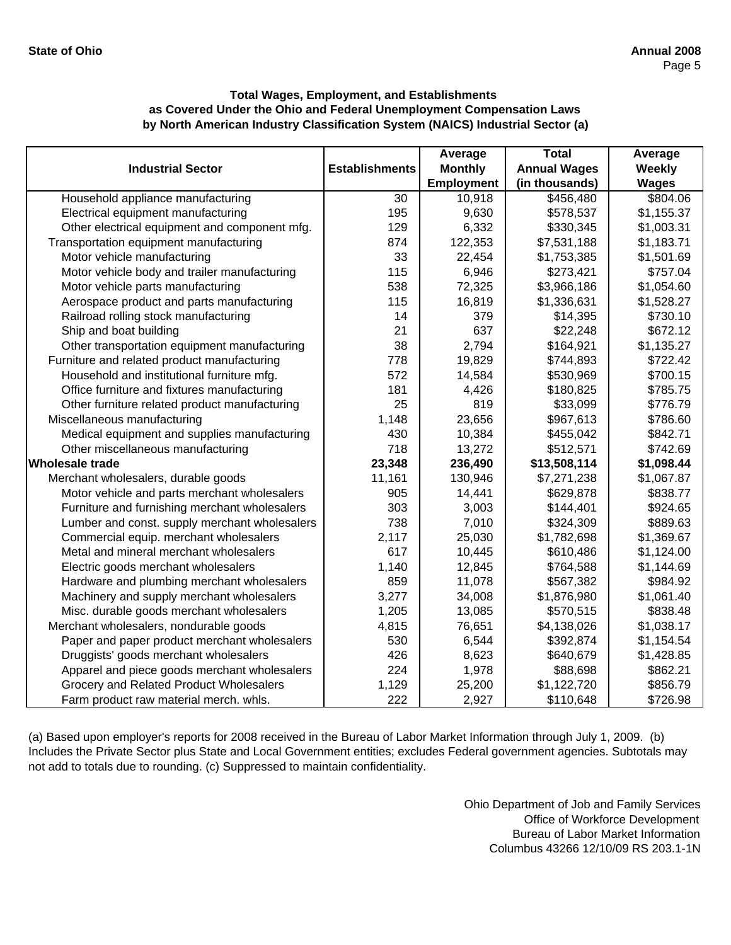|                                               |                       | Average           | <b>Total</b>        | Average      |
|-----------------------------------------------|-----------------------|-------------------|---------------------|--------------|
| <b>Industrial Sector</b>                      | <b>Establishments</b> | <b>Monthly</b>    | <b>Annual Wages</b> | Weekly       |
|                                               |                       | <b>Employment</b> | (in thousands)      | <b>Wages</b> |
| Household appliance manufacturing             | 30                    | 10,918            | \$456,480           | \$804.06     |
| Electrical equipment manufacturing            | 195                   | 9,630             | \$578,537           | \$1,155.37   |
| Other electrical equipment and component mfg. | 129                   | 6,332             | \$330,345           | \$1,003.31   |
| Transportation equipment manufacturing        | 874                   | 122,353           | \$7,531,188         | \$1,183.71   |
| Motor vehicle manufacturing                   | 33                    | 22,454            | \$1,753,385         | \$1,501.69   |
| Motor vehicle body and trailer manufacturing  | 115                   | 6,946             | \$273,421           | \$757.04     |
| Motor vehicle parts manufacturing             | 538                   | 72,325            | \$3,966,186         | \$1,054.60   |
| Aerospace product and parts manufacturing     | 115                   | 16,819            | \$1,336,631         | \$1,528.27   |
| Railroad rolling stock manufacturing          | 14                    | 379               | \$14,395            | \$730.10     |
| Ship and boat building                        | 21                    | 637               | \$22,248            | \$672.12     |
| Other transportation equipment manufacturing  | 38                    | 2,794             | \$164,921           | \$1,135.27   |
| Furniture and related product manufacturing   | 778                   | 19,829            | \$744,893           | \$722.42     |
| Household and institutional furniture mfg.    | 572                   | 14,584            | \$530,969           | \$700.15     |
| Office furniture and fixtures manufacturing   | 181                   | 4,426             | \$180,825           | \$785.75     |
| Other furniture related product manufacturing | 25                    | 819               | \$33,099            | \$776.79     |
| Miscellaneous manufacturing                   | 1,148                 | 23,656            | \$967,613           | \$786.60     |
| Medical equipment and supplies manufacturing  | 430                   | 10,384            | \$455,042           | \$842.71     |
| Other miscellaneous manufacturing             | 718                   | 13,272            | \$512,571           | \$742.69     |
| <b>Wholesale trade</b>                        | 23,348                | 236,490           | \$13,508,114        | \$1,098.44   |
| Merchant wholesalers, durable goods           | 11,161                | 130,946           | \$7,271,238         | \$1,067.87   |
| Motor vehicle and parts merchant wholesalers  | 905                   | 14,441            | \$629,878           | \$838.77     |
| Furniture and furnishing merchant wholesalers | 303                   | 3,003             | \$144,401           | \$924.65     |
| Lumber and const. supply merchant wholesalers | 738                   | 7,010             | \$324,309           | \$889.63     |
| Commercial equip. merchant wholesalers        | 2,117                 | 25,030            | \$1,782,698         | \$1,369.67   |
| Metal and mineral merchant wholesalers        | 617                   | 10,445            | \$610,486           | \$1,124.00   |
| Electric goods merchant wholesalers           | 1,140                 | 12,845            | \$764,588           | \$1,144.69   |
| Hardware and plumbing merchant wholesalers    | 859                   | 11,078            | \$567,382           | \$984.92     |
| Machinery and supply merchant wholesalers     | 3,277                 | 34,008            | \$1,876,980         | \$1,061.40   |
| Misc. durable goods merchant wholesalers      | 1,205                 | 13,085            | \$570,515           | \$838.48     |
| Merchant wholesalers, nondurable goods        | 4,815                 | 76,651            | \$4,138,026         | \$1,038.17   |
| Paper and paper product merchant wholesalers  | 530                   | 6,544             | \$392,874           | \$1,154.54   |
| Druggists' goods merchant wholesalers         | 426                   | 8,623             | \$640,679           | \$1,428.85   |
| Apparel and piece goods merchant wholesalers  | 224                   | 1,978             | \$88,698            | \$862.21     |
| Grocery and Related Product Wholesalers       | 1,129                 | 25,200            | \$1,122,720         | \$856.79     |
| Farm product raw material merch. whls.        | 222                   | 2,927             | \$110,648           | \$726.98     |

(a) Based upon employer's reports for 2008 received in the Bureau of Labor Market Information through July 1, 2009. (b) Includes the Private Sector plus State and Local Government entities; excludes Federal government agencies. Subtotals may not add to totals due to rounding. (c) Suppressed to maintain confidentiality.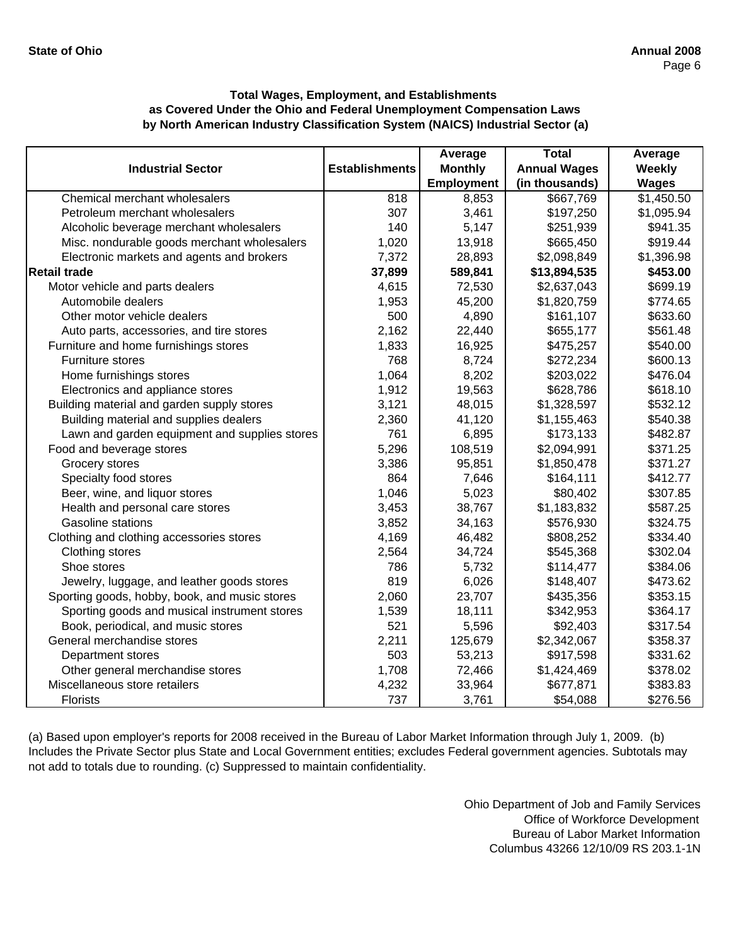|                                               |                       | Average        | <b>Total</b>        | Average      |
|-----------------------------------------------|-----------------------|----------------|---------------------|--------------|
| <b>Industrial Sector</b>                      | <b>Establishments</b> | <b>Monthly</b> | <b>Annual Wages</b> | Weekly       |
|                                               |                       | Employment     | (in thousands)      | <b>Wages</b> |
| Chemical merchant wholesalers                 | 818                   | 8,853          | \$667,769           | \$1,450.50   |
| Petroleum merchant wholesalers                | 307                   | 3,461          | \$197,250           | \$1,095.94   |
| Alcoholic beverage merchant wholesalers       | 140                   | 5,147          | \$251,939           | \$941.35     |
| Misc. nondurable goods merchant wholesalers   | 1,020                 | 13,918         | \$665,450           | \$919.44     |
| Electronic markets and agents and brokers     | 7,372                 | 28,893         | \$2,098,849         | \$1,396.98   |
| <b>Retail trade</b>                           | 37,899                | 589,841        | \$13,894,535        | \$453.00     |
| Motor vehicle and parts dealers               | 4,615                 | 72,530         | \$2,637,043         | \$699.19     |
| Automobile dealers                            | 1,953                 | 45,200         | \$1,820,759         | \$774.65     |
| Other motor vehicle dealers                   | 500                   | 4,890          | \$161,107           | \$633.60     |
| Auto parts, accessories, and tire stores      | 2,162                 | 22,440         | \$655,177           | \$561.48     |
| Furniture and home furnishings stores         | 1,833                 | 16,925         | \$475,257           | \$540.00     |
| Furniture stores                              | 768                   | 8,724          | \$272,234           | \$600.13     |
| Home furnishings stores                       | 1,064                 | 8,202          | \$203,022           | \$476.04     |
| Electronics and appliance stores              | 1,912                 | 19,563         | \$628,786           | \$618.10     |
| Building material and garden supply stores    | 3,121                 | 48,015         | \$1,328,597         | \$532.12     |
| Building material and supplies dealers        | 2,360                 | 41,120         | \$1,155,463         | \$540.38     |
| Lawn and garden equipment and supplies stores | 761                   | 6,895          | \$173,133           | \$482.87     |
| Food and beverage stores                      | 5,296                 | 108,519        | \$2,094,991         | \$371.25     |
| Grocery stores                                | 3,386                 | 95,851         | \$1,850,478         | \$371.27     |
| Specialty food stores                         | 864                   | 7,646          | \$164,111           | \$412.77     |
| Beer, wine, and liquor stores                 | 1,046                 | 5,023          | \$80,402            | \$307.85     |
| Health and personal care stores               | 3,453                 | 38,767         | \$1,183,832         | \$587.25     |
| <b>Gasoline stations</b>                      | 3,852                 | 34,163         | \$576,930           | \$324.75     |
| Clothing and clothing accessories stores      | 4,169                 | 46,482         | \$808,252           | \$334.40     |
| Clothing stores                               | 2,564                 | 34,724         | \$545,368           | \$302.04     |
| Shoe stores                                   | 786                   | 5,732          | \$114,477           | \$384.06     |
| Jewelry, luggage, and leather goods stores    | 819                   | 6,026          | \$148,407           | \$473.62     |
| Sporting goods, hobby, book, and music stores | 2,060                 | 23,707         | \$435,356           | \$353.15     |
| Sporting goods and musical instrument stores  | 1,539                 | 18,111         | \$342,953           | \$364.17     |
| Book, periodical, and music stores            | 521                   | 5,596          | \$92,403            | \$317.54     |
| General merchandise stores                    | 2,211                 | 125,679        | \$2,342,067         | \$358.37     |
| Department stores                             | 503                   | 53,213         | \$917,598           | \$331.62     |
| Other general merchandise stores              | 1,708                 | 72,466         | \$1,424,469         | \$378.02     |
| Miscellaneous store retailers                 | 4,232                 | 33,964         | \$677,871           | \$383.83     |
| <b>Florists</b>                               | 737                   | 3,761          | \$54,088            | \$276.56     |

(a) Based upon employer's reports for 2008 received in the Bureau of Labor Market Information through July 1, 2009. (b) Includes the Private Sector plus State and Local Government entities; excludes Federal government agencies. Subtotals may not add to totals due to rounding. (c) Suppressed to maintain confidentiality.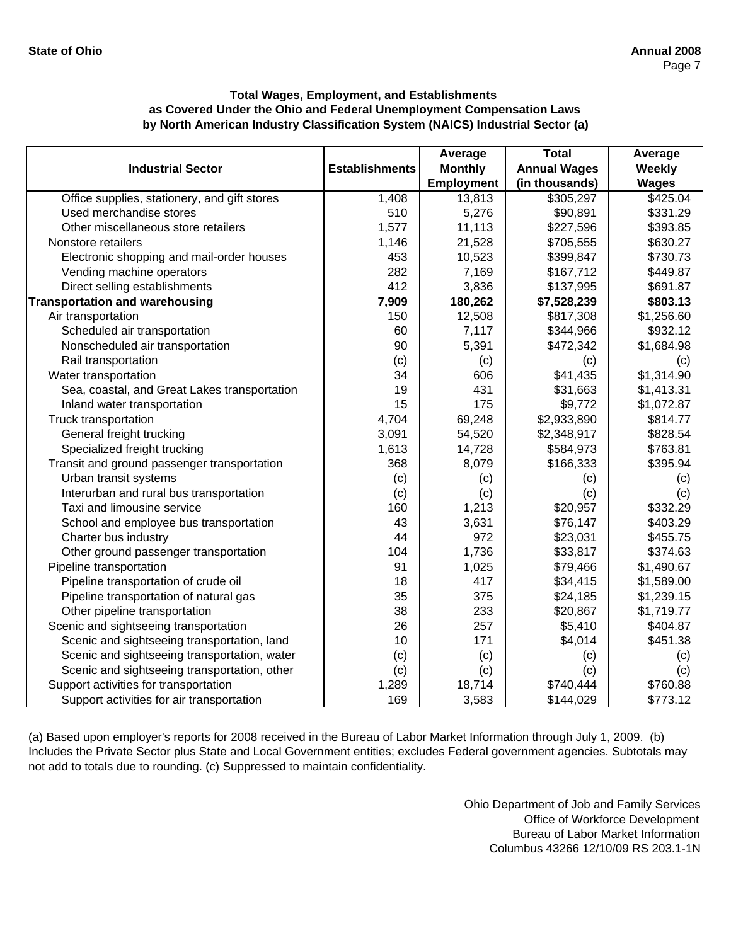|                                              |                       | Average           | <b>Total</b>        | Average      |
|----------------------------------------------|-----------------------|-------------------|---------------------|--------------|
| <b>Industrial Sector</b>                     | <b>Establishments</b> | <b>Monthly</b>    | <b>Annual Wages</b> | Weekly       |
|                                              |                       | <b>Employment</b> | (in thousands)      | <b>Wages</b> |
| Office supplies, stationery, and gift stores | 1,408                 | 13,813            | \$305,297           | \$425.04     |
| Used merchandise stores                      | 510                   | 5,276             | \$90,891            | \$331.29     |
| Other miscellaneous store retailers          | 1,577                 | 11,113            | \$227,596           | \$393.85     |
| Nonstore retailers                           | 1,146                 | 21,528            | \$705,555           | \$630.27     |
| Electronic shopping and mail-order houses    | 453                   | 10,523            | \$399,847           | \$730.73     |
| Vending machine operators                    | 282                   | 7,169             | \$167,712           | \$449.87     |
| Direct selling establishments                | 412                   | 3,836             | \$137,995           | \$691.87     |
| <b>Transportation and warehousing</b>        | 7,909                 | 180,262           | \$7,528,239         | \$803.13     |
| Air transportation                           | 150                   | 12,508            | \$817,308           | \$1,256.60   |
| Scheduled air transportation                 | 60                    | 7,117             | \$344,966           | \$932.12     |
| Nonscheduled air transportation              | 90                    | 5,391             | \$472,342           | \$1,684.98   |
| Rail transportation                          | (c)                   | (c)               | (c)                 | (c)          |
| Water transportation                         | 34                    | 606               | \$41,435            | \$1,314.90   |
| Sea, coastal, and Great Lakes transportation | 19                    | 431               | \$31,663            | \$1,413.31   |
| Inland water transportation                  | 15                    | 175               | \$9,772             | \$1,072.87   |
| Truck transportation                         | 4,704                 | 69,248            | \$2,933,890         | \$814.77     |
| General freight trucking                     | 3,091                 | 54,520            | \$2,348,917         | \$828.54     |
| Specialized freight trucking                 | 1,613                 | 14,728            | \$584,973           | \$763.81     |
| Transit and ground passenger transportation  | 368                   | 8,079             | \$166,333           | \$395.94     |
| Urban transit systems                        | (c)                   | (c)               | (c)                 | (c)          |
| Interurban and rural bus transportation      | (c)                   | (c)               | (c)                 | (c)          |
| Taxi and limousine service                   | 160                   | 1,213             | \$20,957            | \$332.29     |
| School and employee bus transportation       | 43                    | 3,631             | \$76,147            | \$403.29     |
| Charter bus industry                         | 44                    | 972               | \$23,031            | \$455.75     |
| Other ground passenger transportation        | 104                   | 1,736             | \$33,817            | \$374.63     |
| Pipeline transportation                      | 91                    | 1,025             | \$79,466            | \$1,490.67   |
| Pipeline transportation of crude oil         | 18                    | 417               | \$34,415            | \$1,589.00   |
| Pipeline transportation of natural gas       | 35                    | 375               | \$24,185            | \$1,239.15   |
| Other pipeline transportation                | 38                    | 233               | \$20,867            | \$1,719.77   |
| Scenic and sightseeing transportation        | 26                    | 257               | \$5,410             | \$404.87     |
| Scenic and sightseeing transportation, land  | 10                    | 171               | \$4,014             | \$451.38     |
| Scenic and sightseeing transportation, water | (c)                   | (c)               | (c)                 | (c)          |
| Scenic and sightseeing transportation, other | (c)                   | (c)               | (c)                 | (c)          |
| Support activities for transportation        | 1,289                 | 18,714            | \$740,444           | \$760.88     |
| Support activities for air transportation    | 169                   | 3,583             | \$144,029           | \$773.12     |

(a) Based upon employer's reports for 2008 received in the Bureau of Labor Market Information through July 1, 2009. (b) Includes the Private Sector plus State and Local Government entities; excludes Federal government agencies. Subtotals may not add to totals due to rounding. (c) Suppressed to maintain confidentiality.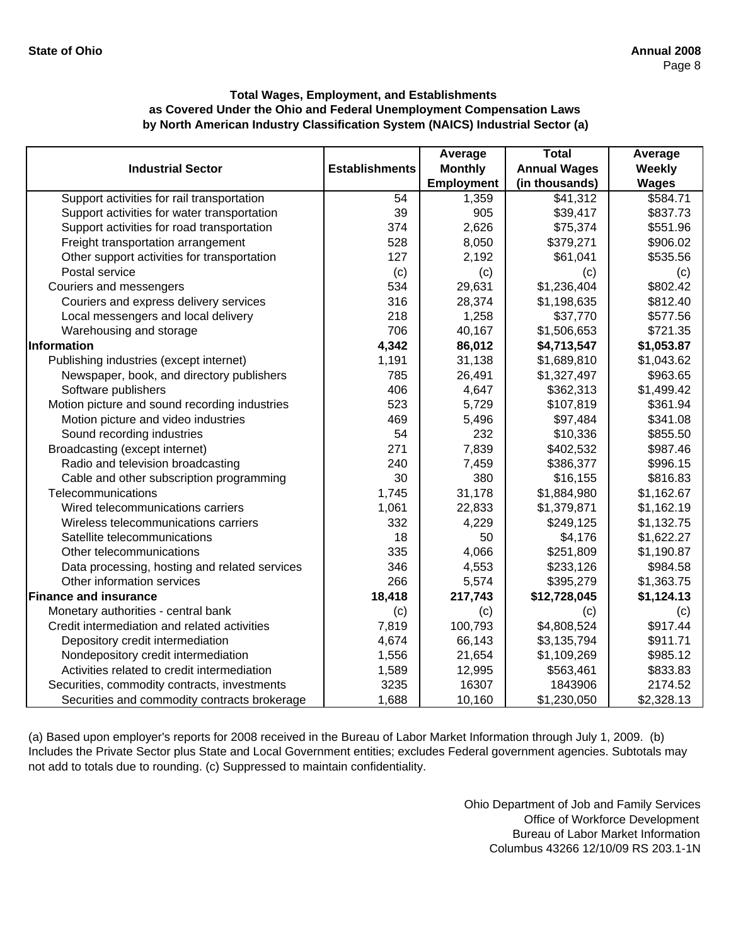|                                               |                       | Average           | <b>Total</b>        | Average      |
|-----------------------------------------------|-----------------------|-------------------|---------------------|--------------|
| <b>Industrial Sector</b>                      | <b>Establishments</b> | <b>Monthly</b>    | <b>Annual Wages</b> | Weekly       |
|                                               |                       | <b>Employment</b> | (in thousands)      | <b>Wages</b> |
| Support activities for rail transportation    | 54                    | 1,359             | \$41,312            | \$584.71     |
| Support activities for water transportation   | 39                    | 905               | \$39,417            | \$837.73     |
| Support activities for road transportation    | 374                   | 2,626             | \$75,374            | \$551.96     |
| Freight transportation arrangement            | 528                   | 8,050             | \$379,271           | \$906.02     |
| Other support activities for transportation   | 127                   | 2,192             | \$61,041            | \$535.56     |
| Postal service                                | (c)                   | (c)               | (c)                 | (c)          |
| Couriers and messengers                       | 534                   | 29,631            | \$1,236,404         | \$802.42     |
| Couriers and express delivery services        | 316                   | 28,374            | \$1,198,635         | \$812.40     |
| Local messengers and local delivery           | 218                   | 1,258             | \$37,770            | \$577.56     |
| Warehousing and storage                       | 706                   | 40,167            | \$1,506,653         | \$721.35     |
| Information                                   | 4,342                 | 86,012            | \$4,713,547         | \$1,053.87   |
| Publishing industries (except internet)       | 1,191                 | 31,138            | \$1,689,810         | \$1,043.62   |
| Newspaper, book, and directory publishers     | 785                   | 26,491            | \$1,327,497         | \$963.65     |
| Software publishers                           | 406                   | 4,647             | \$362,313           | \$1,499.42   |
| Motion picture and sound recording industries | 523                   | 5,729             | \$107,819           | \$361.94     |
| Motion picture and video industries           | 469                   | 5,496             | \$97,484            | \$341.08     |
| Sound recording industries                    | 54                    | 232               | \$10,336            | \$855.50     |
| Broadcasting (except internet)                | 271                   | 7,839             | \$402,532           | \$987.46     |
| Radio and television broadcasting             | 240                   | 7,459             | \$386,377           | \$996.15     |
| Cable and other subscription programming      | 30                    | 380               | \$16,155            | \$816.83     |
| Telecommunications                            | 1,745                 | 31,178            | \$1,884,980         | \$1,162.67   |
| Wired telecommunications carriers             | 1,061                 | 22,833            | \$1,379,871         | \$1,162.19   |
| Wireless telecommunications carriers          | 332                   | 4,229             | \$249,125           | \$1,132.75   |
| Satellite telecommunications                  | 18                    | 50                | \$4,176             | \$1,622.27   |
| Other telecommunications                      | 335                   | 4,066             | \$251,809           | \$1,190.87   |
| Data processing, hosting and related services | 346                   | 4,553             | \$233,126           | \$984.58     |
| Other information services                    | 266                   | 5,574             | \$395,279           | \$1,363.75   |
| <b>Finance and insurance</b>                  | 18,418                | 217,743           | \$12,728,045        | \$1,124.13   |
| Monetary authorities - central bank           | (c)                   | (c)               | (c)                 | (c)          |
| Credit intermediation and related activities  | 7,819                 | 100,793           | \$4,808,524         | \$917.44     |
| Depository credit intermediation              | 4,674                 | 66,143            | \$3,135,794         | \$911.71     |
| Nondepository credit intermediation           | 1,556                 | 21,654            | \$1,109,269         | \$985.12     |
| Activities related to credit intermediation   | 1,589                 | 12,995            | \$563,461           | \$833.83     |
| Securities, commodity contracts, investments  | 3235                  | 16307             | 1843906             | 2174.52      |
| Securities and commodity contracts brokerage  | 1,688                 | 10,160            | \$1,230,050         | \$2,328.13   |

(a) Based upon employer's reports for 2008 received in the Bureau of Labor Market Information through July 1, 2009. (b) Includes the Private Sector plus State and Local Government entities; excludes Federal government agencies. Subtotals may not add to totals due to rounding. (c) Suppressed to maintain confidentiality.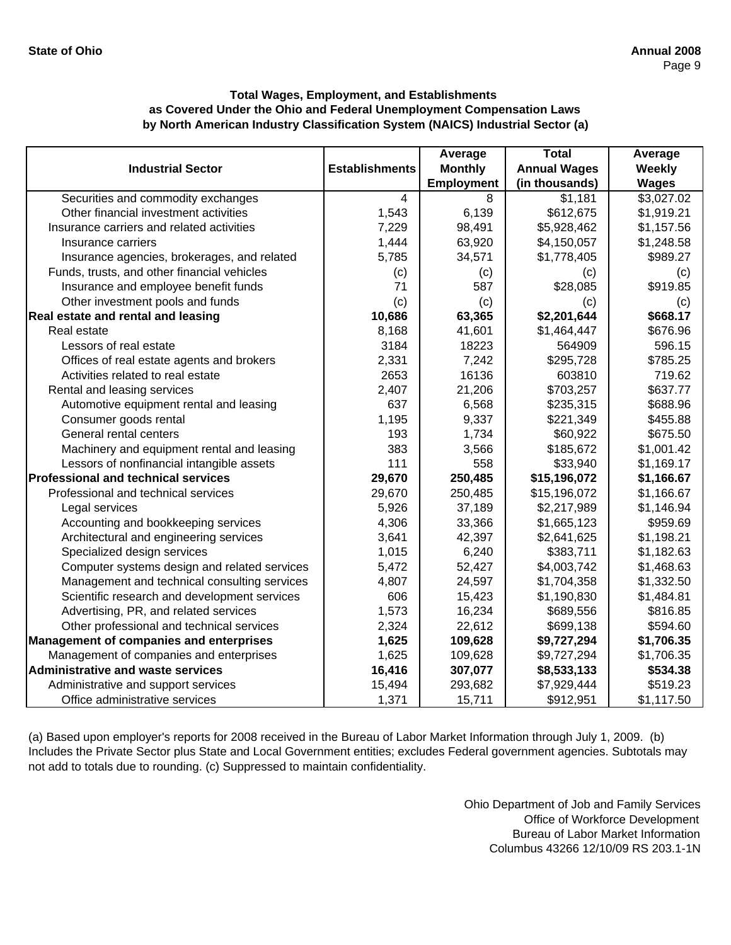|                                                |                       | Average           | <b>Total</b>        | Average      |
|------------------------------------------------|-----------------------|-------------------|---------------------|--------------|
| <b>Industrial Sector</b>                       | <b>Establishments</b> | <b>Monthly</b>    | <b>Annual Wages</b> | Weekly       |
|                                                |                       | <b>Employment</b> | (in thousands)      | <b>Wages</b> |
| Securities and commodity exchanges             | $\overline{4}$        | 8                 | \$1,181             | \$3,027.02   |
| Other financial investment activities          | 1,543                 | 6,139             | \$612,675           | \$1,919.21   |
| Insurance carriers and related activities      | 7,229                 | 98,491            | \$5,928,462         | \$1,157.56   |
| Insurance carriers                             | 1,444                 | 63,920            | \$4,150,057         | \$1,248.58   |
| Insurance agencies, brokerages, and related    | 5,785                 | 34,571            | \$1,778,405         | \$989.27     |
| Funds, trusts, and other financial vehicles    | (c)                   | (c)               | (c)                 | (c)          |
| Insurance and employee benefit funds           | 71                    | 587               | \$28,085            | \$919.85     |
| Other investment pools and funds               | (c)                   | (c)               | (c)                 | (c)          |
| Real estate and rental and leasing             | 10,686                | 63,365            | \$2,201,644         | \$668.17     |
| Real estate                                    | 8,168                 | 41,601            | \$1,464,447         | \$676.96     |
| Lessors of real estate                         | 3184                  | 18223             | 564909              | 596.15       |
| Offices of real estate agents and brokers      | 2,331                 | 7,242             | \$295,728           | \$785.25     |
| Activities related to real estate              | 2653                  | 16136             | 603810              | 719.62       |
| Rental and leasing services                    | 2,407                 | 21,206            | \$703,257           | \$637.77     |
| Automotive equipment rental and leasing        | 637                   | 6,568             | \$235,315           | \$688.96     |
| Consumer goods rental                          | 1,195                 | 9,337             | \$221,349           | \$455.88     |
| General rental centers                         | 193                   | 1,734             | \$60,922            | \$675.50     |
| Machinery and equipment rental and leasing     | 383                   | 3,566             | \$185,672           | \$1,001.42   |
| Lessors of nonfinancial intangible assets      | 111                   | 558               | \$33,940            | \$1,169.17   |
| <b>Professional and technical services</b>     | 29,670                | 250,485           | \$15,196,072        | \$1,166.67   |
| Professional and technical services            | 29,670                | 250,485           | \$15,196,072        | \$1,166.67   |
| Legal services                                 | 5,926                 | 37,189            | \$2,217,989         | \$1,146.94   |
| Accounting and bookkeeping services            | 4,306                 | 33,366            | \$1,665,123         | \$959.69     |
| Architectural and engineering services         | 3,641                 | 42,397            | \$2,641,625         | \$1,198.21   |
| Specialized design services                    | 1,015                 | 6,240             | \$383,711           | \$1,182.63   |
| Computer systems design and related services   | 5,472                 | 52,427            | \$4,003,742         | \$1,468.63   |
| Management and technical consulting services   | 4,807                 | 24,597            | \$1,704,358         | \$1,332.50   |
| Scientific research and development services   | 606                   | 15,423            | \$1,190,830         | \$1,484.81   |
| Advertising, PR, and related services          | 1,573                 | 16,234            | \$689,556           | \$816.85     |
| Other professional and technical services      | 2,324                 | 22,612            | \$699,138           | \$594.60     |
| <b>Management of companies and enterprises</b> | 1,625                 | 109,628           | \$9,727,294         | \$1,706.35   |
| Management of companies and enterprises        | 1,625                 | 109,628           | \$9,727,294         | \$1,706.35   |
| <b>Administrative and waste services</b>       | 16,416                | 307,077           | \$8,533,133         | \$534.38     |
| Administrative and support services            | 15,494                | 293,682           | \$7,929,444         | \$519.23     |
| Office administrative services                 | 1,371                 | 15,711            | \$912,951           | \$1,117.50   |

(a) Based upon employer's reports for 2008 received in the Bureau of Labor Market Information through July 1, 2009. (b) Includes the Private Sector plus State and Local Government entities; excludes Federal government agencies. Subtotals may not add to totals due to rounding. (c) Suppressed to maintain confidentiality.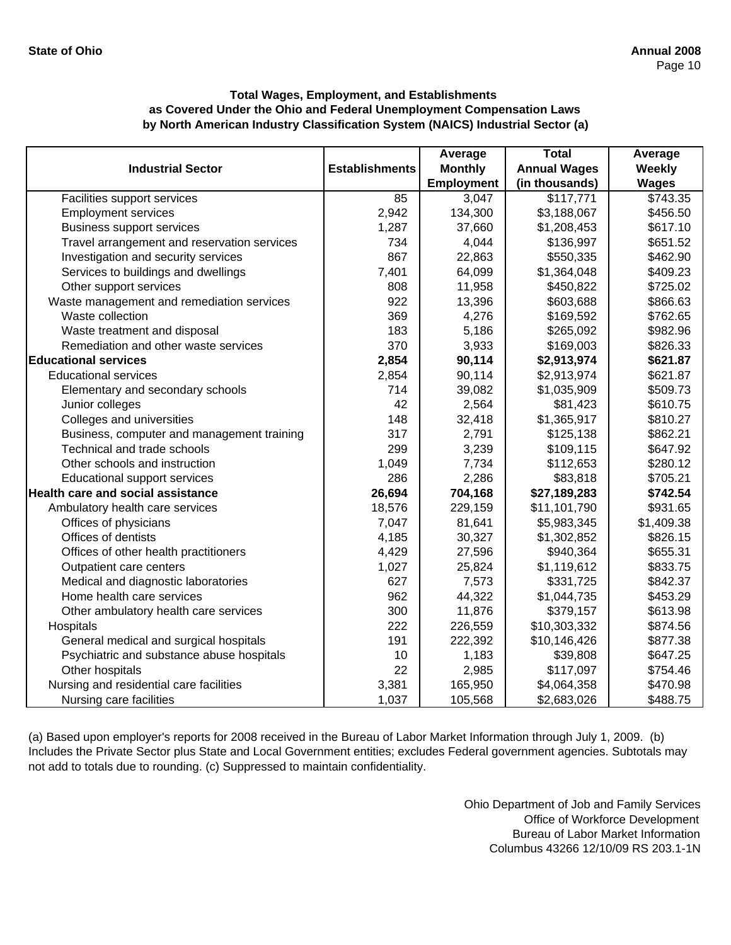|                                             |                       | Average           | <b>Total</b>        | Average      |
|---------------------------------------------|-----------------------|-------------------|---------------------|--------------|
| <b>Industrial Sector</b>                    | <b>Establishments</b> | <b>Monthly</b>    | <b>Annual Wages</b> | Weekly       |
|                                             |                       | <b>Employment</b> | (in thousands)      | <b>Wages</b> |
| Facilities support services                 | 85                    | 3,047             | \$117,771           | \$743.35     |
| <b>Employment services</b>                  | 2,942                 | 134,300           | \$3,188,067         | \$456.50     |
| <b>Business support services</b>            | 1,287                 | 37,660            | \$1,208,453         | \$617.10     |
| Travel arrangement and reservation services | 734                   | 4,044             | \$136,997           | \$651.52     |
| Investigation and security services         | 867                   | 22,863            | \$550,335           | \$462.90     |
| Services to buildings and dwellings         | 7,401                 | 64,099            | \$1,364,048         | \$409.23     |
| Other support services                      | 808                   | 11,958            | \$450,822           | \$725.02     |
| Waste management and remediation services   | 922                   | 13,396            | \$603,688           | \$866.63     |
| Waste collection                            | 369                   | 4,276             | \$169,592           | \$762.65     |
| Waste treatment and disposal                | 183                   | 5,186             | \$265,092           | \$982.96     |
| Remediation and other waste services        | 370                   | 3,933             | \$169,003           | \$826.33     |
| <b>Educational services</b>                 | 2,854                 | 90,114            | \$2,913,974         | \$621.87     |
| <b>Educational services</b>                 | 2,854                 | 90,114            | \$2,913,974         | \$621.87     |
| Elementary and secondary schools            | 714                   | 39,082            | \$1,035,909         | \$509.73     |
| Junior colleges                             | 42                    | 2,564             | \$81,423            | \$610.75     |
| Colleges and universities                   | 148                   | 32,418            | \$1,365,917         | \$810.27     |
| Business, computer and management training  | 317                   | 2,791             | \$125,138           | \$862.21     |
| Technical and trade schools                 | 299                   | 3,239             | \$109,115           | \$647.92     |
| Other schools and instruction               | 1,049                 | 7,734             | \$112,653           | \$280.12     |
| Educational support services                | 286                   | 2,286             | \$83,818            | \$705.21     |
| <b>Health care and social assistance</b>    | 26,694                | 704,168           | \$27,189,283        | \$742.54     |
| Ambulatory health care services             | 18,576                | 229,159           | \$11,101,790        | \$931.65     |
| Offices of physicians                       | 7,047                 | 81,641            | \$5,983,345         | \$1,409.38   |
| Offices of dentists                         | 4,185                 | 30,327            | \$1,302,852         | \$826.15     |
| Offices of other health practitioners       | 4,429                 | 27,596            | \$940,364           | \$655.31     |
| Outpatient care centers                     | 1,027                 | 25,824            | \$1,119,612         | \$833.75     |
| Medical and diagnostic laboratories         | 627                   | 7,573             | \$331,725           | \$842.37     |
| Home health care services                   | 962                   | 44,322            | \$1,044,735         | \$453.29     |
| Other ambulatory health care services       | 300                   | 11,876            | \$379,157           | \$613.98     |
| Hospitals                                   | 222                   | 226,559           | \$10,303,332        | \$874.56     |
| General medical and surgical hospitals      | 191                   | 222,392           | \$10,146,426        | \$877.38     |
| Psychiatric and substance abuse hospitals   | 10                    | 1,183             | \$39,808            | \$647.25     |
| Other hospitals                             | 22                    | 2,985             | \$117,097           | \$754.46     |
| Nursing and residential care facilities     | 3,381                 | 165,950           | \$4,064,358         | \$470.98     |
| Nursing care facilities                     | 1,037                 | 105,568           | \$2,683,026         | \$488.75     |

(a) Based upon employer's reports for 2008 received in the Bureau of Labor Market Information through July 1, 2009. (b) Includes the Private Sector plus State and Local Government entities; excludes Federal government agencies. Subtotals may not add to totals due to rounding. (c) Suppressed to maintain confidentiality.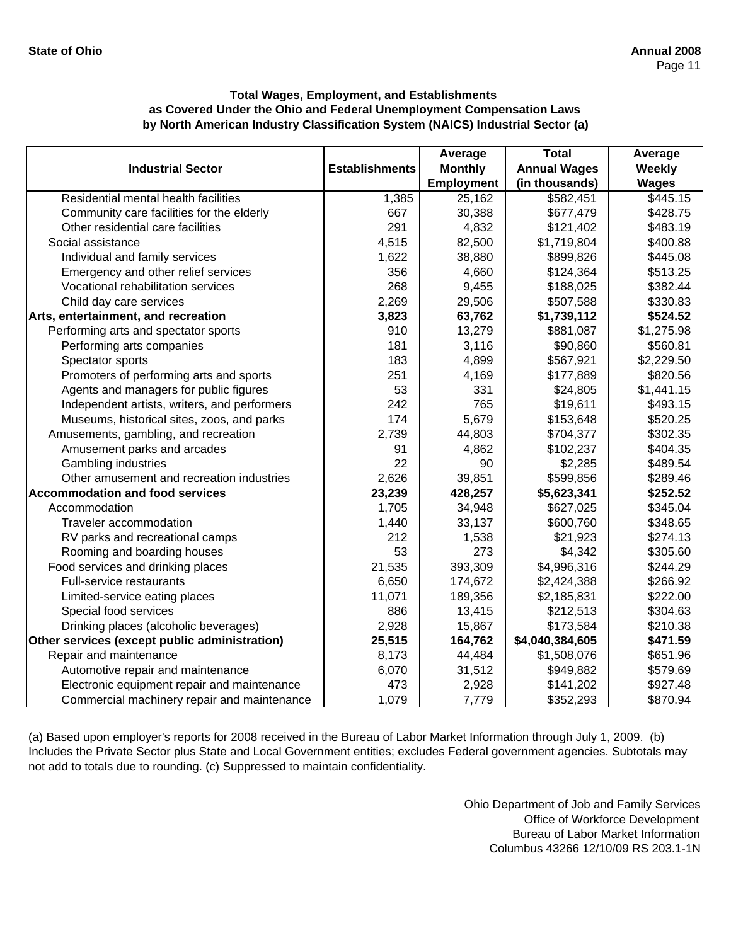|                                               |                       | Average           | <b>Total</b>        | Average       |
|-----------------------------------------------|-----------------------|-------------------|---------------------|---------------|
| <b>Industrial Sector</b>                      | <b>Establishments</b> | <b>Monthly</b>    | <b>Annual Wages</b> | <b>Weekly</b> |
|                                               |                       | <b>Employment</b> | (in thousands)      | <b>Wages</b>  |
| Residential mental health facilities          | 1,385                 | 25,162            | \$582,451           | \$445.15      |
| Community care facilities for the elderly     | 667                   | 30,388            | \$677,479           | \$428.75      |
| Other residential care facilities             | 291                   | 4,832             | \$121,402           | \$483.19      |
| Social assistance                             | 4,515                 | 82,500            | \$1,719,804         | \$400.88      |
| Individual and family services                | 1,622                 | 38,880            | \$899,826           | \$445.08      |
| Emergency and other relief services           | 356                   | 4,660             | \$124,364           | \$513.25      |
| Vocational rehabilitation services            | 268                   | 9,455             | \$188,025           | \$382.44      |
| Child day care services                       | 2,269                 | 29,506            | \$507,588           | \$330.83      |
| Arts, entertainment, and recreation           | 3,823                 | 63,762            | \$1,739,112         | \$524.52      |
| Performing arts and spectator sports          | 910                   | 13,279            | \$881,087           | \$1,275.98    |
| Performing arts companies                     | 181                   | 3,116             | \$90,860            | \$560.81      |
| Spectator sports                              | 183                   | 4,899             | \$567,921           | \$2,229.50    |
| Promoters of performing arts and sports       | 251                   | 4,169             | \$177,889           | \$820.56      |
| Agents and managers for public figures        | 53                    | 331               | \$24,805            | \$1,441.15    |
| Independent artists, writers, and performers  | 242                   | 765               | \$19,611            | \$493.15      |
| Museums, historical sites, zoos, and parks    | 174                   | 5,679             | \$153,648           | \$520.25      |
| Amusements, gambling, and recreation          | 2,739                 | 44,803            | \$704,377           | \$302.35      |
| Amusement parks and arcades                   | 91                    | 4,862             | \$102,237           | \$404.35      |
| Gambling industries                           | 22                    | 90                | \$2,285             | \$489.54      |
| Other amusement and recreation industries     | 2,626                 | 39,851            | \$599,856           | \$289.46      |
| <b>Accommodation and food services</b>        | 23,239                | 428,257           | \$5,623,341         | \$252.52      |
| Accommodation                                 | 1,705                 | 34,948            | \$627,025           | \$345.04      |
| Traveler accommodation                        | 1,440                 | 33,137            | \$600,760           | \$348.65      |
| RV parks and recreational camps               | 212                   | 1,538             | \$21,923            | \$274.13      |
| Rooming and boarding houses                   | 53                    | 273               | \$4,342             | \$305.60      |
| Food services and drinking places             | 21,535                | 393,309           | \$4,996,316         | \$244.29      |
| Full-service restaurants                      | 6,650                 | 174,672           | \$2,424,388         | \$266.92      |
| Limited-service eating places                 | 11,071                | 189,356           | \$2,185,831         | \$222.00      |
| Special food services                         | 886                   | 13,415            | \$212,513           | \$304.63      |
| Drinking places (alcoholic beverages)         | 2,928                 | 15,867            | \$173,584           | \$210.38      |
| Other services (except public administration) | 25,515                | 164,762           | \$4,040,384,605     | \$471.59      |
| Repair and maintenance                        | 8,173                 | 44,484            | \$1,508,076         | \$651.96      |
| Automotive repair and maintenance             | 6,070                 | 31,512            | \$949,882           | \$579.69      |
| Electronic equipment repair and maintenance   | 473                   | 2,928             | \$141,202           | \$927.48      |
| Commercial machinery repair and maintenance   | 1,079                 | 7,779             | \$352,293           | \$870.94      |

(a) Based upon employer's reports for 2008 received in the Bureau of Labor Market Information through July 1, 2009. (b) Includes the Private Sector plus State and Local Government entities; excludes Federal government agencies. Subtotals may not add to totals due to rounding. (c) Suppressed to maintain confidentiality.